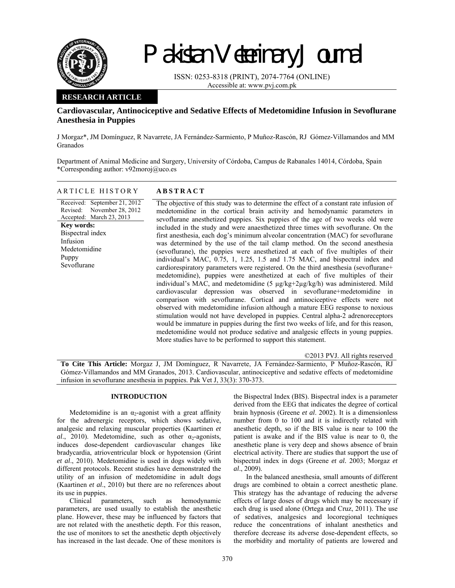

# Pakistan Veterinary Journal

ISSN: 0253-8318 (PRINT), 2074-7764 (ONLINE) Accessible at: www.pvj.com.pk

## **RESEARCH ARTICLE**

# **Cardiovascular, Antinociceptive and Sedative Effects of Medetomidine Infusion in Sevoflurane Anesthesia in Puppies**

J Morgaz\*, JM Domínguez, R Navarrete, JA Fernández-Sarmiento, P Muñoz-Rascón, RJ Gómez-Villamandos and MM Granados

Department of Animal Medicine and Surgery, University of Córdoba, Campus de Rabanales 14014, Córdoba, Spain \*Corresponding author: v92moroj@uco.es

## ARTICLE HISTORY **ABSTRACT**

Received: September 21, 2012 Revised: Accepted: March 23, 2013 November 28, 2012 **Key words:**  Bispectral index Infusion Medetomidine Puppy Sevoflurane

The objective of this study was to determine the effect of a constant rate infusion of medetomidine in the cortical brain activity and hemodynamic parameters in sevoflurane anesthetized puppies. Six puppies of the age of two weeks old were included in the study and were anaesthetized three times with sevoflurane. On the first anesthesia, each dog's minimum alveolar concentration (MAC) for sevoflurane was determined by the use of the tail clamp method. On the second anesthesia (sevoflurane), the puppies were anesthetized at each of five multiples of their individual's MAC, 0.75, 1, 1.25, 1.5 and 1.75 MAC, and bispectral index and cardiorespiratory parameters were registered. On the third anesthesia (sevoflurane+ medetomidine), puppies were anesthetized at each of five multiples of their individual's MAC, and medetomidine (5 µg/kg+2µg/kg/h) was administered. Mild cardiovascular depression was observed in sevoflurane+medetomidine in comparison with sevoflurane. Cortical and antinociceptive effects were not observed with medetomidine infusion although a mature EEG response to noxious stimulation would not have developed in puppies. Central alpha-2 adrenoreceptors would be immature in puppies during the first two weeks of life, and for this reason, medetomidine would not produce sedative and analgesic effects in young puppies. More studies have to be performed to support this statement.

©2013 PVJ. All rights reserved

**To Cite This Article:** Morgaz J, JM Domínguez, R Navarrete, JA Fernández-Sarmiento, P Muñoz-Rascón, RJ Gómez-Villamandos and MM Granados, 2013. Cardiovascular, antinociceptive and sedative effects of medetomidine infusion in sevoflurane anesthesia in puppies. Pak Vet J, 33(3): 370-373.

## **INTRODUCTION**

Medetomidine is an  $\alpha_2$ -agonist with a great affinity for the adrenergic receptors, which shows sedative, analgesic and relaxing muscular properties (Kaartinen *et al.*, 2010). Medetomidine, such as other  $\alpha_2$ -agonists, induces dose-dependent cardiovascular changes like bradycardia, atrioventricular block or hypotension (Grint *et al*., 2010). Medetomidine is used in dogs widely with different protocols. Recent studies have demonstrated the utility of an infusion of medetomidine in adult dogs (Kaartinen *et al*., 2010) but there are no references about its use in puppies.

Clinical parameters, such as hemodynamic parameters, are used usually to establish the anesthetic plane. However, these may be influenced by factors that are not related with the anesthetic depth. For this reason, the use of monitors to set the anesthetic depth objectively has increased in the last decade. One of these monitors is

the Bispectral Index (BIS). Bispectral index is a parameter derived from the EEG that indicates the degree of cortical brain hypnosis (Greene *et al*. 2002). It is a dimensionless number from 0 to 100 and it is indirectly related with anesthetic depth, so if the BIS value is near to 100 the patient is awake and if the BIS value is near to 0, the anesthetic plane is very deep and shows absence of brain electrical activity. There are studies that support the use of bispectral index in dogs (Greene *et al.* 2003; Morgaz *et al*., 2009).

In the balanced anesthesia, small amounts of different drugs are combined to obtain a correct anesthetic plane. This strategy has the advantage of reducing the adverse effects of large doses of drugs which may be necessary if each drug is used alone (Ortega and Cruz, 2011). The use of sedatives, analgesics and locoregional techniques reduce the concentrations of inhalant anesthetics and therefore decrease its adverse dose-dependent effects, so the morbidity and mortality of patients are lowered and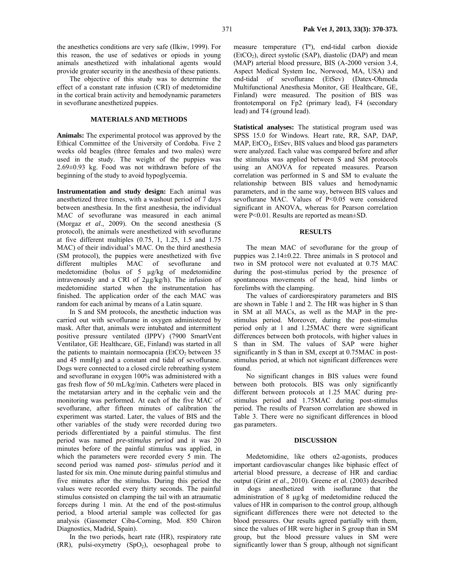The objective of this study was to determine the effect of a constant rate infusion (CRI) of medetomidine in the cortical brain activity and hemodynamic parameters in sevoflurane anesthetized puppies.

### **MATERIALS AND METHODS**

**Animals:** The experimental protocol was approved by the Ethical Committee of the University of Cordoba. Five 2 weeks old beagles (three females and two males) were used in the study. The weight of the puppies was 2.69±0.93 kg. Food was not withdrawn before of the beginning of the study to avoid hypoglycemia.

**Instrumentation and study design:** Each animal was anesthetized three times, with a washout period of 7 days between anesthesia. In the first anesthesia, the individual MAC of sevoflurane was measured in each animal (Morgaz *et al*., 2009). On the second anesthesia (S protocol), the animals were anesthetized with sevoflurane at five different multiples (0.75, 1, 1.25, 1.5 and 1.75 MAC) of their individual's MAC. On the third anesthesia (SM protocol), the puppies were anesthetized with five different multiples MAC of sevoflurane and medetomidine (bolus of 5 µg/kg of medetomidine intravenously and a CRI of 2µg/kg/h). The infusion of medetomidine started when the instrumentation has finished. The application order of the each MAC was random for each animal by means of a Latin square.

In S and SM protocols, the anesthetic induction was carried out with sevoflurane in oxygen administered by mask. After that, animals were intubated and intermittent positive pressure ventilated (IPPV) (7900 SmartVent Ventilator, GE Healthcare, GE, Finland) was started in all the patients to maintain normocapnia ( $E<sub>1</sub>CO<sub>2</sub>$  between 35 and 45 mmHg) and a constant end tidal of sevoflurane. Dogs were connected to a closed circle rebreathing system and sevoflurane in oxygen 100% was administered with a gas fresh flow of 50 mL/kg/min. Catheters were placed in the metatarsian artery and in the cephalic vein and the monitoring was performed. At each of the five MAC of sevoflurane, after fifteen minutes of calibration the experiment was started. Later, the values of BIS and the other variables of the study were recorded during two periods differentiated by a painful stimulus. The first period was named *pre-stimulus period* and it was 20 minutes before of the painful stimulus was applied, in which the parameters were recorded every 5 min. The second period was named *post- stimulus period* and it lasted for six min. One minute during painful stimulus and five minutes after the stimulus. During this period the values were recorded every thirty seconds. The painful stimulus consisted on clamping the tail with an atraumatic forceps during 1 min. At the end of the post-stimulus period, a blood arterial sample was collected for gas analysis (Gasometer Ciba-Corning, Mod. 850 Chiron Diagnostics, Madrid, Spain).

In the two periods, heart rate (HR), respiratory rate  $(RR)$ , pulsi-oxymetry  $(SpO<sub>2</sub>)$ , oesophageal probe to

measure temperature (Tª), end-tidal carbon dioxide  $(EtCO<sub>2</sub>)$ , direct systolic  $(SAP)$ , diastolic  $(DAP)$  and mean (MAP) arterial blood pressure, BIS (A-2000 version 3.4, Aspect Medical System Inc, Norwood, MA, USA) and end-tidal of sevoflurane (EtSev) (Datex-Ohmeda Multifunctional Anesthesia Monitor, GE Healthcare, GE, Finland) were measured. The position of BIS was frontotemporal on Fp2 (primary lead), F4 (secondary lead) and T4 (ground lead).

**Statistical analyses:** The statistical program used was SPSS 15.0 for Windows. Heart rate, RR, SAP, DAP,  $MAP$ ,  $EtCO<sub>2</sub>$ ,  $EtSev$ ,  $BIS$  values and blood gas parameters were analyzed. Each value was compared before and after the stimulus was applied between S and SM protocols using an ANOVA for repeated measures. Pearson correlation was performed in S and SM to evaluate the relationship between BIS values and hemodynamic parameters, and in the same way, between BIS values and sevoflurane MAC. Values of P<0.05 were considered significant in ANOVA, whereas for Pearson correlation were P<0.01. Results are reported as mean±SD.

#### **RESULTS**

The mean MAC of sevoflurane for the group of puppies was 2.14±0.22. Three animals in S protocol and two in SM protocol were not evaluated at 0.75 MAC during the post-stimulus period by the presence of spontaneous movements of the head, hind limbs or forelimbs with the clamping.

The values of cardiorespiratory parameters and BIS are shown in Table 1 and 2. The HR was higher in S than in SM at all MACs, as well as the MAP in the prestimulus period. Moreover, during the post-stimulus period only at 1 and 1.25MAC there were significant differences between both protocols, with higher values in S than in SM. The values of SAP were higher significantly in S than in SM, except at 0.75MAC in poststimulus period, at which not significant differences were found.

No significant changes in BIS values were found between both protocols. BIS was only significantly different between protocols at 1.25 MAC during prestimulus period and 1.75MAC during post-stimulus period. The results of Pearson correlation are showed in Table 3. There were no significant differences in blood gas parameters.

#### **DISCUSSION**

Medetomidine, like others  $\alpha$ 2-agonists, produces important cardiovascular changes like biphasic effect of arterial blood pressure, a decrease of HR and cardiac output (Grint *et al*., 2010). Greene *et al.* (2003) described in dogs anesthetized with isoflurane that the administration of 8 µg/kg of medetomidine reduced the values of HR in comparison to the control group, although significant differences there were not detected to the blood pressures. Our results agreed partially with them, since the values of HR were higher in S group than in SM group, but the blood pressure values in SM were significantly lower than S group, although not significant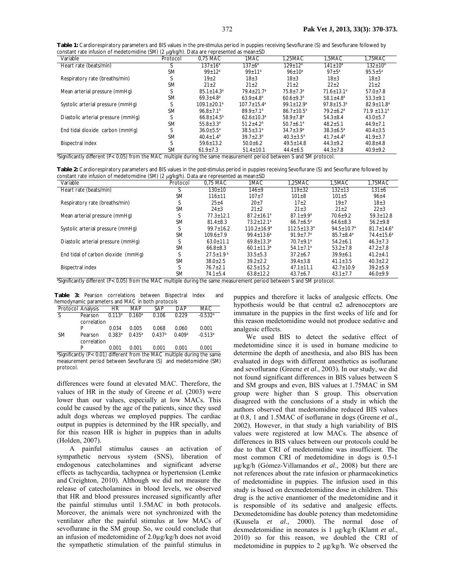| Table 1: Cardiorespiratory parameters and BIS values in the <i>pre-stimulus</i> period in puppies receiving Sevoflurane (S) and Sevoflurane followed by |  |
|---------------------------------------------------------------------------------------------------------------------------------------------------------|--|
| constant rate infusion of medetomidine (SM) (2 $\mu$ g/kg/h). Data are represented as mean $\pm$ SD                                                     |  |

| Variable                                                                                                               | .<br>$\mathsf{v}$<br>Protocol | 0,75 MAC                  | 1MAC             | 1,25MAC                   | 1,5MAC                       | 1,75MAC                    |
|------------------------------------------------------------------------------------------------------------------------|-------------------------------|---------------------------|------------------|---------------------------|------------------------------|----------------------------|
| Heart rate (beats/min)                                                                                                 |                               | $137 \pm 16^a$            | $137 \pm 6^a$    | $129 \pm 12^a$            | $141 \pm 10^a$               | $132 \pm 10^a$             |
|                                                                                                                        | <b>SM</b>                     | $99+12^a$                 | $99 + 11a$       | $96 + 10^{a}$             | $97 + 5^a$                   | $95.5 \pm 5^a$             |
| Respiratory rate (breaths/min)                                                                                         |                               | $19 + 2$                  | $18 \pm 3$       | $18 + 3$                  | $18 + 3$                     | $18 + 3$                   |
|                                                                                                                        | <b>SM</b>                     | $21 \pm 2$                | $21 \pm 2$       | $21 \pm 2$                | $22+2$                       | $21 \pm 2$                 |
| Mean arterial pressure (mmHq)                                                                                          |                               | $85.1 + 14.3^a$           | $79.4 + 21.7a$   | $75.8 + 7.3a$             | $71.6 + 13.1^a$              | $57.0 \pm 7.8$             |
|                                                                                                                        | <b>SM</b>                     | $69.3 + 4.8$ <sup>a</sup> | $63.9 + 4.8^a$   | $60.6 + 9.3$ <sup>a</sup> | $58.1 + 4.8^a$               | $53.3 + 9.1$               |
| Systolic arterial pressure (mmHq)                                                                                      |                               | $109.1 + 20.1^a$          | $107.7 + 15.4^a$ | $99.1 + 12.9^{\circ}$     | $97.8 \pm 15.3$ <sup>a</sup> | $82.9 + 11.8$ <sup>a</sup> |
|                                                                                                                        | <b>SM</b>                     | $96.8 + 7.1^a$            | $89.9 + 7.1^a$   | $86.7 + 10.5^a$           | $79.2 + 6.2^a$               | $71.9 + 13.1^a$            |
| Diastolic arterial pressure (mmHq)                                                                                     |                               | $66.8 \pm 14.5^a$         | $62.6 + 10.3a$   | $58.9 + 7.8^a$            | $54.3 \pm 8.4$               | $43.0 \pm 5.7$             |
|                                                                                                                        | <b>SM</b>                     | $55.8 \pm 3.3^a$          | $51.2 \pm 4.2^a$ | $50.7 \pm 6.1^a$          | $48.2 \pm 5.1$               | $44.9 \pm 7.1$             |
| End tidal dioxide carbon (mmHq)                                                                                        |                               | $36.0 \pm 5.5^{\circ}$    | $38.5 \pm 3.1^a$ | $34.7 \pm 3.9^a$          | $38.3 \pm 6.5^a$             | $40.4 \pm 3.5$             |
|                                                                                                                        | <b>SM</b>                     | $40.4 + 1.4^a$            | $39.7 + 2.3^a$   | $40.3 + 3.5^a$            | $41.7 + 4.4^a$               | $41.9 \pm 3.7$             |
| <b>Bispectral index</b>                                                                                                |                               | $59.6 \pm 13.2$           | $50.0 + 6.2$     | $49.5 \pm 14.8$           | $44.3 \pm 9.2$               | $40.8 \pm 4.8$             |
|                                                                                                                        | <b>SM</b>                     | $61.9 \pm 7.3$            | $51.4 \pm 10.1$  | $44.4 \pm 6.5$            | $44.3 \pm 7.8$               | $40.9 \pm 9.2$             |
| "Significantly different (P< 0.05) from the MAC multiple during the same measurement period between S and SM protocol. |                               |                           |                  |                           |                              |                            |

**Table 2:** Cardiorespiratory parameters and BIS values in the *post-stimulus* period in puppies receiving Sevoflurane (S) and Sevoflurane followed by constant rate infusion of medetomidine (SM) (2 µg/kg/h). Data are represented as mean±SD

| Variable                                                                                                                           | .<br>$\mathsf{v}$<br>Protocol | 0.75 MAC                  | 1MAC                         | 1,25MAC            | 1,5MAC                       | 1,75MAC           |
|------------------------------------------------------------------------------------------------------------------------------------|-------------------------------|---------------------------|------------------------------|--------------------|------------------------------|-------------------|
| Heart rate (beats/min)                                                                                                             |                               | $130 + 10$                | $146 + 9$                    | $119 + 32$         | $132 + 13$                   | $131 \pm 6$       |
|                                                                                                                                    | <b>SM</b>                     | $116 + 11$                | $107 + 7$                    | $101 \pm 8$        | $101 + 5$                    | $96 + 4$          |
| Respiratory rate (breaths/min)                                                                                                     |                               | $25 + 4$                  | $20+7$                       | $17+2$             | $19 + 7$                     | $18 + 3$          |
|                                                                                                                                    | <b>SM</b>                     | $24 \pm 3$                | $21 \pm 2$                   | $21 \pm 3$         | $21 \pm 2$                   | $22 \pm 3$        |
| Mean arterial pressure (mmHq)                                                                                                      |                               | $77.3 + 12.1$             | $87.2 + 16.1$ <sup>a</sup>   | $87.1 + 9.9a$      | $70.6 + 9.2$                 | $59.3 + 12.8$     |
|                                                                                                                                    | <b>SM</b>                     | $81.4 \pm 8.3$            | $73.2 + 12.1$ <sup>a</sup>   | $66.7 \pm 6.5^a$   | $64.6 \pm 8.3$               | $56.2 \pm 9.8$    |
| Systolic arterial pressure (mmHq)                                                                                                  |                               | $99.7 \pm 16.2$           | $110.2 \pm 16.9^a$           | $112.5 \pm 13.3^a$ | $94.5 \pm 10.7$ <sup>a</sup> | $81.7 \pm 14.6^a$ |
|                                                                                                                                    | <b>SM</b>                     | $109.6 + 7.9$             | $99.4 + 13.6^a$              | $91.9 + 7.7^a$     | $85.7 + 8.4^a$               | $74.4 \pm 15.6^a$ |
| Diastolic arterial pressure (mmHq)                                                                                                 |                               | $63.0 \pm 11.1$           | $69.8 \pm 13.3^a$            | $70.7 + 9.1^a$     | $54.2 + 6.1$                 | $46.3 \pm 7.3$    |
|                                                                                                                                    | <b>SM</b>                     | $66.8 \pm 8.3$            | $60.1 \pm 11.3$ <sup>a</sup> | $54.1 \pm 7.1^a$   | $53.2 \pm 7.8$               | $47.2 \pm 7.8$    |
| End tidal of carbon dioxide (mmHq)                                                                                                 |                               | $27.5 \pm 1.9^{\text{a}}$ | $33.5 \pm 5.3$               | $37.2 \pm 6.7$     | $39.9 + 6.1$                 | $41.2 \pm 4.1$    |
|                                                                                                                                    | <b>SM</b>                     | $38.0 + 2.5$              | $39.2 + 2.2$                 | $39.4 \pm 3.8$     | $41.1 \pm 3.5$               | $40.3 \pm 2.2$    |
| <b>Bispectral index</b>                                                                                                            |                               | $76.7 \pm 2.1$            | $62.5 \pm 15.2$              | $47.1 \pm 11.1$    | $42.7 \pm 10.9$              | $39.2 \pm 5.9$    |
|                                                                                                                                    | <b>SM</b>                     | $74.1 \pm 5.4$            | $63.8 \pm 12.2$              | $43.7 \pm 6.7$     | $43.1 \pm 7.7$               | $46.0 \pm 9.9$    |
| <sup>a</sup> Significantly different (P< 0.05) from the MAC multiple during the same measurement period between S and SM protocol. |                               |                           |                              |                    |                              |                   |

**Table 3:** Pearson correlations between Bispectral Index and amic parameters and  $MAC$  in both protocols

| $\sim$ . The street of the contract of $\sim$ 10 and $\sim$ 10 and $\sim$ 10 and $\sim$ 10 and $\sim$ |                        |                    |                    |        |            |                       |  |  |
|-------------------------------------------------------------------------------------------------------|------------------------|--------------------|--------------------|--------|------------|-----------------------|--|--|
| Protocol Analysis                                                                                     |                        | HR                 | MAP                | SAP    | <b>DAP</b> | MAC                   |  |  |
| -S                                                                                                    | Pearson<br>correlation | 0.113 <sup>a</sup> | 0.160 <sup>a</sup> | 0.106  | 0.229      | $-0.532$ <sup>a</sup> |  |  |
|                                                                                                       | P                      | 0.034              | 0.005              | 0.068  | 0.060      | 0.001                 |  |  |
| <b>SM</b>                                                                                             | Pearson<br>correlation | 0.383a             | $0.435^{a}$        | 0.437a | 0.409a     | $-0.513$ <sup>a</sup> |  |  |
|                                                                                                       | P                      | 0.001              | 0.001              | 0.001  | 0.001      | 0.001                 |  |  |

P 0.001 0.001 0.001 0.001 0.001 0.001<br>
<sup>a</sup>Significantly (P< 0.01) different from the MAC multiple during the same measurement period between Sevoflurane (S) and medetomidine (SM) protocol.

differences were found at elevated MAC. Therefore, the values of HR in the study of Greene *et al.* (2003) were lower than our values, especially at low MACs. This could be caused by the age of the patients, since they used adult dogs whereas we employed puppies. The cardiac output in puppies is determined by the HR specially, and for this reason HR is higher in puppies than in adults (Holden, 2007).

A painful stimulus causes an activation of sympathetic nervous system (SNS), liberation of endogenous catecholamines and significant adverse effects as tachycardia, tachypnea or hypertension (Lemke and Creighton, 2010). Although we did not measure the release of catecholamines in blood levels, we observed that HR and blood pressures increased significantly after the painful stimulus until 1.5MAC in both protocols. Moreover, the animals were not synchronized with the ventilator after the painful stimulus at low MACs of sevoflurane in the SM group. So, we could conclude that an infusion of medetomidine of 2.0µg/kg/h does not avoid the sympathetic stimulation of the painful stimulus in

puppies and therefore it lacks of analgesic effects. One hypothesis would be that central  $\alpha$ 2 adrenoceptors are immature in the puppies in the first weeks of life and for this reason medetomidine would not produce sedative and analgesic effects.

We used BIS to detect the sedative effect of medetomidine since it is used in humane medicine to determine the depth of anesthesia, and also BIS has been evaluated in dogs with different anesthetics as isoflurane and sevoflurane (Greene *et al*., 2003). In our study, we did not found significant differences in BIS values between S and SM groups and even, BIS values at 1.75MAC in SM group were higher than S group. This observation disagreed with the conclusions of a study in which the authors observed that medetomidine reduced BIS values at 0.8, 1 and 1.5MAC of isoflurane in dogs (Greene *et al*., 2002). However, in that study a high variability of BIS values were registered at low MACs. The absence of differences in BIS values between our protocols could be due to that CRI of medetomidine was insufficient. The most common CRI of medetomidine in dogs is 0.5-1 µg/kg/h (Gómez-Villamandos *et al*., 2008) but there are not references about the rate infusion or pharmacokinetics of medetomidine in puppies. The infusion used in this study is based on dexmedetomidine dose in children. This drug is the active enantiomer of the medetomidine and it is responsible of its sedative and analgesic effects. Dexmedetomidine has double potency than medetomidine (Kuusela *et al*., 2000). The normal dose of dexmedetomidine in neonates is 1 µg/kg/h (Klamt *et al*., 2010) so for this reason, we doubled the CRI of medetomidine in puppies to 2 µg/kg/h. We observed the